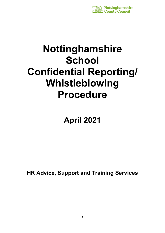

# **Nottinghamshire School Confidential Reporting/ Whistleblowing Procedure**

## **April 2021**

**HR Advice, Support and Training Services**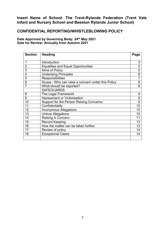## **Insert Name of School: The Trent-Rylands Federation (Trent Vale Infant and Nursery School and Beeston Rylands Junior School)**

## **CONFIDENTIAL REPORTING/WHISTLEBLOWING POLICY**

**Date Approved by Governing Body: 24th May 2021 Date for Review: Annually from Autumn 2021**

| <b>Section</b> | <b>Heading</b>                                    | Page            |
|----------------|---------------------------------------------------|-----------------|
| 1              | Introduction                                      | 3               |
| $\overline{2}$ | <b>Equalities and Equal Opportunities</b>         | 5               |
| 3              | Aims of Policy                                    | $\overline{5}$  |
| 4              | <b>Underlying Principles</b>                      | $6\phantom{1}6$ |
| 5              | <b>Responsibilities</b>                           | $\overline{7}$  |
| 6              | Scope - Who can raise a concern under this Policy | 8               |
|                | What should be reported?                          | 8               |
|                | <b>SAFEGUARDS</b>                                 |                 |
| 8              | The Legal Framework                               | 9               |
| 9              | <b>Harassment or Victimisation</b>                | $9$             |
| 10             | Support for the Person Raising Concerns           | 9               |
| 11             | Confidentiality                                   | 10              |
| 12             | <b>Anonymous Allegations</b>                      | 10              |
| 13             | <b>Untrue Allegations</b>                         | 10              |
| 14             | <b>Raising A Concern</b>                          | 11              |
| 15             | <b>Record Keeping</b>                             | 13              |
| 16             | How the matter can be taken further               | 13              |
| 17             | Review of policy                                  | 14              |
| 18             | <b>Exceptional Cases</b>                          | 14              |
|                |                                                   |                 |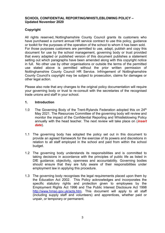## **SCHOOL CONFIDENTIAL REPORTING/WHISTLEBLOWING POLICY – Updated November 2020**

## **Copyright**

All rights reserved, Nottinghamshire County Council grants its customers who have purchased a current annual HR service contract to use this policy, guidance or toolkit for the purposes of the operation of the school to whom it has been sold. For those purposes customers are permitted to use, adapt, publish and copy this document for use by the school management, governing body or trust provided that every adapted or published version of this document publishes a statement setting out which paragraphs have been amended along with this copyright notice in full. No other use by other organisations or outside the terms of the permitted use stated above is permitted without the prior written permission of Nottinghamshire County Council HR Service. Infringement of Nottinghamshire County Council's copyright may be subject to prosecution, claims for damages or other legal action.

Please also note that any changes to the original policy documentation will require your governing body or trust to re-consult with the secretaries of the recognised trade unions and staff in your school.

## **1. Introduction**

- 1.0 The Governing Body of the Trent-Rylands Federation adopted this on  $24<sup>th</sup>$ May 2021. The Resources Committee of the governing body will review and monitor the impact of the Confidential Reporting and Whistleblowing Policy annually with the head teacher. The next review will take place on (*insert date*).
- 1.1 The governing body has adopted the policy set out in this document to provide an agreed framework for the exercise of its powers and discretions in relation to all staff employed in the school and paid from within the school budget.
- 1.2 The governing body understands its responsibilities and is committed to taking decisions in accordance with the principles of public life as listed in DfE guidance; objectivity, openness and accountability. Governing bodies should ensure that they are fully aware of their responsibilities under employment law in applying this procedure.
- 1.3 The governing body recognises the legal requirements placed upon them by the Education Act 2002. This Policy acknowledges and incorporates the specific statutory rights and protection given to employees by the Employment Rights Act 1996 and The Public Interest Disclosure Act 1998 [http://www.hmso.gov.uk/acts.htm.](http://www.hmso.gov.uk/acts.htm) This document will apply to all staff (including supply staff and volunteers) and apprentices, whether paid or unpair, or temporary or permanent.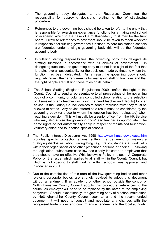- 1.4 The governing body delegates to the Resources Committee the responsibility for approving decisions relating to the Whistleblowing procedure.
- 1.5 References to the governing body should be taken to refer to the entity that is responsible for exercising governance functions for a maintained school or academy, which in the case of a multi-academy trust may be the trust board. Likewise references to governors should be taken to mean whoever is responsible for fulfilling governance functions. Where maintained schools are federated under a single governing body this will be the federated governing body.
- 1.6 In fulfilling staffing responsibilities, the governing body may delegate its staffing functions in accordance with its articles of government. In delegating functions, the governing body must not lose sight of the fact that it retains overall accountability for the decisions made by those to whom the function has been delegated. As a result the governing body should regularly review their arrangements for managing staffing functions and that the right people are fulfilling these roles on its behalf.
- 1.7 The School Staffing (England) Regulations 2009 confers the right of the County Council to send a representative to all proceedings of the governing body of a community or voluntary controlled school relating to the selection or dismissal of any teacher (including the head teacher and deputy) to offer advice. If the County Council decides to send a representative they must be allowed to attend. Any advice offered as a result must be considered by the governing body (or those to whom the function has been delegated) when reaching a decision. This will usually be a senior officer from the HR Service who may also advise the governing body/head teacher as appropriate. The same rights do not automatically apply in respect of maintained foundation, voluntary-aided and foundation special schools.
- 1.8 The Public Interest Disclosure Act 1998 <http://www.hmso.gov.uk/acts.htm> provides specific protection against suffering a detriment for making a qualifying disclosure about wrongdoing (e.g. frauds, dangers at work, etc) within their organisation or to other prescribed persons or bodies. Following the legislation, subsequent case law has clearly indicated to employers that they should have an effective Whistleblowing Policy in place. A Corporate Policy on the issue, which applies to all staff within the County Council, but which is not specific to staff working within schools, was approved and introduced in 2001.
- 1.9 Due to the complexities of this area of the law, governing bodies and other relevant corporate bodies are strongly advised to adopt this document without amendment. If an academy or other school outside the control of Nottinghamshire County Council adopts this procedure, references to the council as employer will need to be replaced by the name of the employing body/trust. Should, exceptionally, the governing body of a school maintained by Nottinghamshire County Council seek to amend the recommended document, it will need to consult and negotiate any changes with the recognised trade unions and confirm any amendments to the local authority.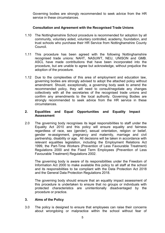Governing bodies are strongly recommended to seek advice from the HR service in these circumstances.

## **Consultation and Agreement with the Recognised Trade Unions**

- 1.10 The Nottinghamshire School procedure is recommended for adoption by all community, voluntary aided, voluntary controlled, academy, foundation, and trust schools who purchase their HR Service from Nottinghamshire County Council.
- 1.11 This procedure has been agreed with the following Nottinghamshire recognised trade unions: NAHT, NASUWT, NEU, UNISON and GMB. ASCL have made contributions that have been incorporated into the procedure, but are unable to agree but acknowledge, without prejudice the adoption of the procedure.
- 1.12 Due to the complexities of this area of employment and education law, governing bodies are strongly advised to adopt the attached policy without amendment. Should, exceptionally, a governing body seek to amend the recommended policy, they will need to consult/negotiate any changes collectively with all the secretaries of the recognised trade unions and confirm any amendments to the local authority. Governing Bodies are strongly recommended to seek advice from the HR service in these circumstances.

## **2. Equalities and Equal Opportunities and Equality Impact Assessment**

2.0 The governing body recognises its legal responsibilities to staff under the Equality Act 2010 and this policy will ensure equality and fairness regardless of race, sex (gender), sexual orientation, religion or belief, gender re-assignment, pregnancy and maternity, marriage and civil partnership, disability or age. All decisions will be taken in accordance with relevant equalities legislation, including the Employment Relations Act 1999, the Part-Time Workers (Prevention of Less Favourable Treatment) Regulations 2000 and the Fixed Term Employees (Prevention of Less Favourable Treatment) Regulations 2002.

The governing body is aware of its responsibilities under the Freedom of Information Act 2000 to make available this policy to all staff at the school and its responsibilities to be compliant with the Data Protection Act 2018 and the General Data Protection Regulations 2018.

The governing body should ensure that an equality impact assessment of this procedure is undertaken to ensure that no groups or individuals with protected characteristics are unintentionally disadvantaged by the procedure or practice.

## **3. Aims of the Policy**

3.0 The policy is designed to ensure that employees can raise their concerns about wrongdoing or malpractice within the school without fear of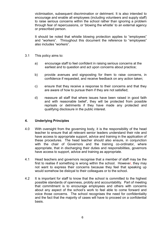victimisation, subsequent discrimination or detriment. It is also intended to encourage and enable all employees (including volunteers and supply staff) to raise serious concerns within the school rather than ignoring a problem through fear of repercussions, or 'blowing the whistle' to an external agency or prescribed person.

It should be noted that whistle blowing protection applies to "employees" and "workers". Throughout this document the reference to "employees" also includes "workers".

- 3.1 This policy aims to:
	- a) encourage staff to feel confident in raising serious concerns at the earliest and to question and act upon concerns about practice;
	- b) provide avenues and signposting for them to raise concerns, in confidence if requested, and receive feedback on any action taken;
	- c) ensure that they receive a response to their concerns and that they are aware of how to pursue them if they are not satisfied;
	- d) reassure all staff that where issues have been raised in good faith and with reasonable belief', they will be protected from possible reprisals or detriments if they have made any protected and qualifying disclosure in the public interest.

## **4. Underlying Principles**

- 4.0 With oversight from the governing body, it is the responsibility of the head teacher to ensure that all relevant senior leaders understand their role and have access to appropriate support, advice and training in the application of these procedures. The head teacher should also ensure, in conjunction with the chair of Governors and the training co-ordinator, where appropriate, that in discharging their duties and responsibilities, governors have access to support, advice and training as appropriate.
- 4.1 Head teachers and governors recognise that a member of staff may be the first to realise if something is wrong within the school. However, they may not want to express their concerns because they feel that speaking up would somehow be disloyal to their colleagues or to the school.
- 4.2 It is important for staff to know that the school is committed to the highest possible standards of openness, probity and accountability. Part of meeting that commitment is to encourage employees and others with concerns about any aspect of the school's work to feel able to come forward and voice those concerns. The school recognises the need for confidentiality and the fact that the majority of cases will have to proceed on a confidential basis.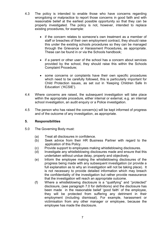- 4.3 The policy is intended to enable those who have concerns regarding wrongdoing or malpractice to report those concerns in good faith and with reasonable belief at the earliest possible opportunity so that they can be properly investigated. The policy is not, however, intended to replace existing procedures, for example:
	- if the concern relates to someone's own treatment as a member of staff or breaches of their own employment contract, they should raise this under the existing schools procedures so they can be managed through the Grievance or Harassment Procedures, as appropriate. These can be found in or via the Schools handbook;
	- if a parent or other user of the school has a concern about services provided by the school, they should raise this within the Schools Complaint Procedure;
	- some concerns or complaints have their own specific procedures which need to be carefully followed, this is particularly important for Child Protection issues, as set out in 'Keeping Children Safe In Education' ('KCSIE').
- 4.4 Where concerns are raised, the subsequent investigation will take place within the appropriate procedure, either internal or external, e.g. an internal school investigation, an audit enquiry or a Police investigation.
- 4.5 The person who has raised the concern(s) will be kept informed of progress and of the outcome of any investigation, as appropriate.

## **5. Responsibilities**

- 5.0 The Governing Body must:
	- (a) Treat all disclosures in confidence.
	- (b) Seek advice from their HR Business Partner with regard to the application of this Policy.
	- (c) Provide support to employees making whistleblowing disclosures.
	- (d) Investigate any whistleblowing disclosures made and ensure that this undertaken without undue delay, properly and objectively.
	- (e) Inform the employee making the whistleblowing disclosures of the progress being made with any subsequent investigation (or provide a full explanation as to why an investigation will not be taking place). It is not necessary to provide detailed information which may breach the confidentiality of the investigation but rather provide reassurance that the investigation will reach an appropriate outcome.
	- (f) Where a whistleblowing disclosure is a "qualifying" and "protected" disclosure, (see paragraph 7.0 for definitions) and the disclosure has been made in the reasonable belief 'good faith' of the employee, they will be protected from suffering any detriment in their employment (including dismissal). For example, harassment or victimisation from any other manager or employee, because the employee has made the disclosure.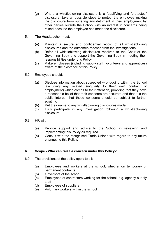- (g) Where a whistleblowing disclosure is a "qualifying and "protected" disclosure, take all possible steps to protect the employee making the disclosure from suffering any detriment in their employment by other parties outside the School with an interest in concerns being raised because the employee has made the disclosure.
- 5.1 The Headteacher must:
	- (a) Maintain a secure and confidential record of all whistleblowing disclosures and the outcomes reached from the investigations.
	- (b) Refer all whistleblowing disclosures received to the Chair of the Governing Body and support the Governing Body in meeting their responsibilities under this Policy.
	- (c) Make employees (including supply staff, volunteers and apprentices) aware of the existence of this Policy.
- 5.2 Employees should:
	- (a) Disclose information about suspected wrongdoing within the School (excluding any related singularly to their own contract of employment) which comes to their attention, providing that they have a reasonable belief that their concerns are accurate and that it is the public interest that those concerns should be subject to further scrutiny.
	- (b) Put their name to any whistleblowing disclosures made.
	- (c) Fully participate in any investigation following a whistleblowing disclosure.
- 5.3 HR will:
	- (a) Provide support and advice to the School in reviewing and implementing this Policy as required.
	- (b) Consult with the recognised Trade Unions with regard to any future changes to this Policy.

## **6. Scope - Who can raise a concern under this Policy?**

- 6.0 The provisions of the policy apply to all:
	- (a) Employees and workers at the school, whether on temporary or permanent contracts
	- (b) Governors of the school
	- (c) Employees of contractors working for the school, e.g. agency supply staff
	- (d) Employees of suppliers
	- (e) Voluntary workers within the school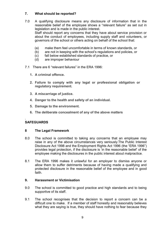## **7. What should be reported?**

- 7.0 A qualifying disclosure means any disclosure of information that in the reasonable belief of the employee shows a "relevant failure" as set out in legislation and is made in the public interest. Staff should report any concerns that they have about service provision or about the conduct of employees, including supply staff and volunteers, or governors of the school or others acting on behalf of the school that:
	- (a) make them feel uncomfortable in terms of known standards, or
	- (b) are not in keeping with the school's regulations and policies, or
	- (c) fall below established standards of practice, or
	- (d) are improper behaviour
- 7.1 There are 6 "relevant failures" in the ERA 1996:
	- **1. A criminal offence.**
	- **2. Failure to comply with any legal or professional obligation or regulatory requirement.**
	- **3. A miscarriage of justice.**
	- **4. Danger to the health and safety of an individual.**
	- **5. Damage to the environment.**
	- **6. The deliberate concealment of any of the above matters**

#### . **SAFEGUARDS**

## **8 The Legal Framework**

- 8.0 The school is committed to taking any concerns that an employee may raise in any of the above circumstances very seriously.The Public Interest Disclosure Act 1998 and the Employment Rights Act 1996 (the "ERA 1996") provides legal protection, if the disclosure is 'in the reasonable belief' of the employee making the disclosures in the public interest about malpractice.
- 8.1 The ERA 1996 makes it unlawful for an employer to dismiss anyone or allow them to suffer detriments because of having made a qualifying and protected disclosure in the reasonable belief of the employee and in good faith.

## **9. Harassment or Victimisation**

- 9.0 The school is committed to good practice and high standards and to being supportive of its staff.
- 9.1 The school recognises that the decision to report a concern can be a difficult one to make. If a member of staff honestly and reasonably believes what they are saying is true, they should have nothing to fear because they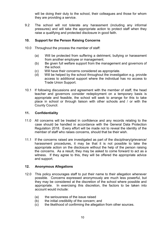will be doing their duty to the school, their colleagues and those for whom they are providing a service.

9.2 The school will not tolerate any harassment (including any informal pressures) and will take the appropriate action to protect staff when they raise a qualifying and protected disclosure in good faith.

## **10. Support for the Person Raising Concerns**

- 10.0 Throughout the process the member of staff:
	- (a) Will be protected from suffering a detriment, bullying or harassment from another employee or management.
	- (b) Be given full welfare support from the management and governors of the school.
	- (c) Will have their concerns considered as appropriate.
	- (d) Will be helped by the school throughout the investigation e.g. provide access to additional support where the individual has no access to Trade Union Support.
- 10.1 If following discussions and agreement with the member of staff, the head teacher and governors consider redeployment on a temporary basis is appropriate and feasible, the school will seek to arrange for this to take place in school or through liaison with other schools and / or with the County Council.

## **11. Confidentiality**

- 11.0 All concerns will be treated in confidence and any records relating to the case should be handled in accordance with the General Data Protection Regulation 2018. Every effort will be made not to reveal the identity of the member of staff who raises concerns, should that be their wish.
- 11.1 If the concerns raised are investigated as part of the disciplinary/grievance/ harassment procedures, it may be that it is not possible to take the appropriate action on the disclosure without the help of the person raising the concerns. As a result, they may be asked to come forward to act as a witness. If they agree to this, they will be offered the appropriate advice and support.

## **12. Anonymous Allegations**

- 12.0 This policy encourages staff to put their name to their allegation whenever possible. Concerns expressed anonymously are much less powerful, but they may be considered at the discretion of the school where possible and appropriate. In exercising this discretion, the factors to be taken into account would include:
	- (a) the seriousness of the issue raised
	- (b) the initial credibility of the concern; and
	- (c) the likelihood of confirming the allegation from other sources.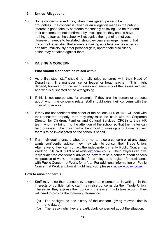## **13. Untrue Allegations**

13.0 Some concerns raised may, when investigated, prove to be groundless. If a concern is raised or an allegation made in the public interest in good faith by someone reasonably believing it to be true and their concerns are not confirmed by investigation, they should have nothing to fear as the school will recognise their genuine motives. However, it needs to be stated, should evidence emerge meaning that the school is satisfied that someone making an allegation has acted in bad faith, maliciously or for personal gain, appropriate disciplinary action may be taken against them.

## **14. RAISING A CONCERN**

## **Who should a concern be raised with?**

- 14.0 As a first step, staff should normally raise concerns with their Head of Department, line manager, senior leader or head teacher. This might depend, however, on the seriousness and sensitivity of the issues involved and who is suspected of the wrongdoing.
- 14.1 If this is not appropriate, for example, if they are the person or persons about whom the concerns relate, staff should raise their concerns with the chair of governors.
- 14.2 If they are not confident that either of the options 14.0 or 14.1 will deal with their concerns properly, then they may raise the issue with the Corporate Director for Children, Families and Cultural Services (CFCS) *or* their HR team who may bring it to the attention of the school so that the matter can be progressed. This may involve the school to investigate or it may request for this to be investigated on the school's behalf.
- 14.3 If an individual is unsure whether or not to raise a concern or at any stage wants confidential advice*,* they may wish to consult their Trade Union. Alternatively, they can contact the independent charity Public Concern at Work on 020 7404 6609 or at [whistle@pcaw.co.uk.](mailto:whistle@pcaw.co.uk) Their lawyers can give individuals free confidential advice on how to raise a concern about serious malpractice at work. It is possible for employers to register for assistance with Public Concern at Work, for a fee. For additional information on Public Concern at Work and how it might help you, please visit [www.pcaw.co.uk](http://www.pcaw.co.uk/)

## **How to raise concern(s)**

- 14.4 Staff may raise their concern by telephone, in person or in writing. In the interests of confidentiality, staff may raise concerns via their Trade Union. The earlier they express their concern, the easier it is to take action. They will need to provide the following information:
	- (a) The background and history of the concern (giving relevant details and dates);
	- (b) The reason why they are particularly concerned about the situation.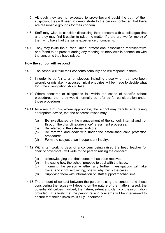- 14.5 Although they are not expected to prove beyond doubt the truth of their suspicion, they will need to demonstrate to the person contacted that there are reasonable grounds for their concern.
- 14.6 Staff may wish to consider discussing their concern with a colleague first and they may find it easier to raise the matter if there are two (or more) of them who have had the same experience or concerns.
- 14.7 They may invite their Trade Union, professional association representative or a friend to be present during any meeting or interviews in connection with the concerns they have raised.

#### **How the school will respond**

- 14.8 The school will take their concerns seriously and will respond to them.
- 14.9 In order to be fair to all employees, including those who may have been wrongly or mistakenly accused, initial enquiries will be made to decide what form the investigation should take.
- 14.10 Where concerns or allegations fall within the scope of specific school procedures, then they would normally be referred for consideration under those procedures.
- 14.11 As a result of this, where appropriate, the school may decide, after taking appropriate advice, that the concerns raised may:
	- (a) Be investigated by the management of the school, internal audit or through the discipline/grievance/harassment processes;
	- (b) Be referred to the external auditors;
	- (c) Be referred and dealt with under the established child protection procedures
	- (d) Form the subject of an independent inquiry.
- 14.12 Within ten working days of a concern being raised the head teacher (or chair of governors), will write to the person raising the concern:
	- (a) acknowledging that their concern has been received;
	- (b) Indicating how the school propose to deal with the issue;
	- (c) Informing the person whether any further investigations will take place (and if not, explaining, briefly, why this is the case);
	- (d) Supplying them with information on staff support mechanisms.
- 14.13 The amount of contact between the person raising the concern and those considering the issues will depend on the nature of the matters raised, the potential difficulties involved, the nature, extent and clarity of the information provided. It is likely that the person raising concerns will be interviewed to ensure that their disclosure is fully understood.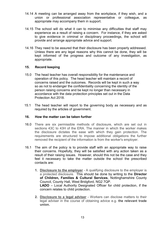- 14.14 A meeting can be arranged away from the workplace, if they wish, and a union or professional association representative or colleague, as appropriate may accompany them in support.
- 14.15 The school will do what it can to minimise any difficulties that staff may experience as a result of raising a concern. For instance, if they are asked to give evidence in criminal or disciplinary proceedings, the school will provide and arrange appropriate advice and support.
- 14.16 They need to be assured that their disclosure has been properly addressed. Unless there are any legal reasons why this cannot be done, they will be kept informed of the progress and outcome of any investigation, as appropriate.

## **15. Record keeping**

- 15.0 The head teacher has overall responsibility for the maintenance and operation of this policy. The head teacher will maintain a record of concerns raised and the outcomes. Records will be kept in such a way so as not to endanger the confidentiality concerning the identity of the person raising concerns and be kept no longer than necessary in accordance with the data protection principles set out in the Data Protection Act 2018.
- 15.1 The head teacher will report to the governing body as necessary and as required by the articles of government.

#### **16. How the matter can be taken further**

- 16.0 There are six permissible methods of disclosure, which are set out in sections 43C to 43H of the ERA. The manner in which the worker makes the disclosure dictates the ease with which they gain protection. The requirements are structured to impose additional obligations the further removed the recipient of the information is from the worker's employer.
- 16.1 The aim of the policy is to provide staff with an appropriate way to raise their concerns. Hopefully, they will be satisfied with any action taken as a result of their raising issues. However, should this not be the case and they feel it necessary to take the matter outside the school the prescribed contacts are:
	- **1. Disclosure to the employer** A qualifying disclosure to the employer is a protected disclosure. This should be done by writing to the **Director of Children, Families & Cultural Services**, Nottinghamshire County Council, County Hall, West Bridgford, NG2 7QP. **LADO** – Local Authority Designated Officer for child protection, if the concern relates to child protection.
	- **2. Disclosure to a legal adviser** Workers can disclose matters to their legal adviser in the course of obtaining advice e.g. **the relevant trade union.**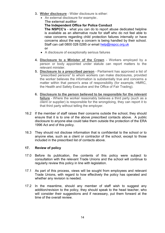- **3. Wider disclosure** Wider disclosure is either:
	- An external disclosure for example:
		- **The external auditor**

**The Independent Office for Police Conduct**

**The NSPCC's** - what you can do to report abuse dedicated helpline is available as an alternative route for staff who do not feel able to raise concerns regarding child protection failures internally or have concerns about the way a concern is being handled by their school. Staff can call 0800 028 0285 or email [help@nspcc.org.uk](mailto:help@nspcc.org.uk) **or**

- A disclosure of exceptionally serious failures
- **4. Disclosure to a Minister of the Crown** Workers employed by a person or body appointed under statute can report matters to the relevant minister.
- **5. Disclosure to a prescribed person** Parliament has approved a list of "prescribed persons" to whom workers can make disclosures, provided the worker believes the information is substantially true and concerns a matter within that person's area of responsibility (for example, HMRC, the Health and Safety Executive and the Office of Fair Trading).
- **6. Disclosure to the person believed to be responsible for the relevant failure** - Where the worker reasonably believes a third party (such as a client or supplier) is responsible for the wrongdoing, they can report it to that third party without telling the employer.
- . 16.2 If the member of staff raises their concerns outside the school, they should ensure that it is to one of the above prescribed contacts above. A public disclosure to anyone else could take them outside the protection of the ERA 1996 Act and of this policy.
- 16.3 They should not disclose information that is confidential to the school or to anyone else, such as a client or contractor of the school, except to those included in the prescribed list of contacts above.

## **17. Review of policy**

- 17.0 Before its publication, the contents of this policy were subject to consultation with the relevant Trade Unions and the school will continue to regularly review this policy in line with legislation.
- 17.1 As part of this process, views will be sought from employees and relevant Trade Unions, with regard to how effectively the policy has operated and whether any revision is needed.
- 17.2 In the meantime, should any member of staff wish to suggest any addition/revision to the policy, they should speak to the head teacher, who will consider their suggestions and if necessary, put them forward at the time of the overall review.